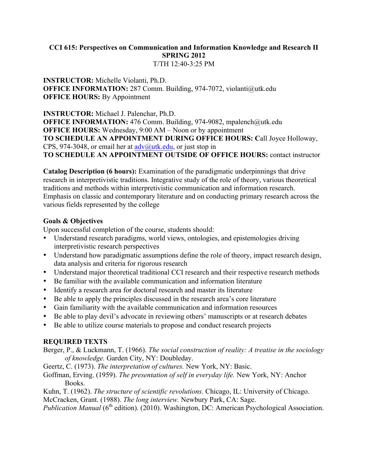#### **CCI 615: Perspectives on Communication and Information Knowledge and Research II SPRING 2012** T/TH 12:40-3:25 PM

#### **INSTRUCTOR:** Michelle Violanti, Ph.D. **OFFICE INFORMATION:** 287 Comm. Building, 974-7072, violanti@utk.edu **OFFICE HOURS:** By Appointment

**INSTRUCTOR:** Michael J. Palenchar, Ph.D. **OFFICE INFORMATION:** 476 Comm. Building, 974-9082, mpalench@utk.edu **OFFICE HOURS:** Wednesday, 9:00 AM – Noon or by appointment **TO SCHEDULE AN APPOINTMENT DURING OFFICE HOURS: C**all Joyce Holloway, CPS, 974-3048, or email her at  $\frac{\text{adv}(a)$ utk.edu, or just stop in **TO SCHEDULE AN APPOINTMENT OUTSIDE OF OFFICE HOURS:** contact instructor

**Catalog Description (6 hours):** Examination of the paradigmatic underpinnings that drive research in interpretivistic traditions. Integrative study of the role of theory, various theoretical traditions and methods within interpretivistic communication and information research. Emphasis on classic and contemporary literature and on conducting primary research across the various fields represented by the college

### **Goals & Objectives**

Upon successful completion of the course, students should:

- Understand research paradigms, world views, ontologies, and epistemologies driving interpretivistic research perspectives
- Understand how paradigmatic assumptions define the role of theory, impact research design, data analysis and criteria for rigorous research
- Understand major theoretical traditional CCI research and their respective research methods
- Be familiar with the available communication and information literature
- Identify a research area for doctoral research and master its literature
- Be able to apply the principles discussed in the research area's core literature
- Gain familiarity with the available communication and information resources
- Be able to play devil's advocate in reviewing others' manuscripts or at research debates
- Be able to utilize course materials to propose and conduct research projects

# **REQUIRED TEXTS**

- Berger, P., & Luckmann, T. (1966). *The social construction of reality: A treatise in the sociology of knowledge.* Garden City, NY: Doubleday.
- Geertz, C. (1973). *The interpretation of cultures.* New York, NY: Basic.
- Goffman, Erving. (1959). *The presentation of self in everyday life.* New York, NY: Anchor Books.
- Kuhn, T. (1962). *The structure of scientific revolutions.* Chicago, IL: University of Chicago.

McCracken, Grant. (1988). *The long interview.* Newbury Park, CA: Sage.

*Publication Manual* (6<sup>th</sup> edition). (2010). Washington, DC: American Psychological Association.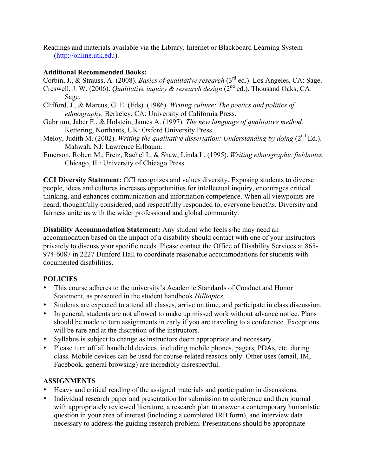Readings and materials available via the Library, Internet or Blackboard Learning System (http://online.utk.edu).

#### **Additional Recommended Books:**

Corbin, J., & Strauss, A. (2008). *Basics of qualitative research* (3rd ed.). Los Angeles, CA: Sage. Creswell, J. W. (2006). *Qualitative inquiry & research design* (2<sup>nd</sup> ed.). Thousand Oaks, CA: Sage.

- Clifford, J., & Marcus, G. E. (Eds). (1986). *Writing culture: The poetics and politics of ethnography.* Berkeley, CA: University of California Press.
- Gubrium, Jaber F., & Holstein, James A. (1997). *The new language of qualitative method.*  Kettering, Northants, UK: Oxford University Press.
- Meloy, Judith M. (2002). *Writing the qualitative dissertation: Understanding by doing* (2<sup>nd</sup> Ed.). Mahwah, NJ: Lawrence Erlbaum.
- Emerson, Robert M., Fretz, Rachel I., & Shaw, Linda L. (1995). *Writing ethnographic fieldnotes.*  Chicago, IL: University of Chicago Press.

**CCI Diversity Statement:** CCI recognizes and values diversity. Exposing students to diverse people, ideas and cultures increases opportunities for intellectual inquiry, encourages critical thinking, and enhances communication and information competence. When all viewpoints are heard, thoughtfully considered, and respectfully responded to, everyone benefits. Diversity and fairness unite us with the wider professional and global community.

**Disability Accommodation Statement:** Any student who feels s/he may need an accommodation based on the impact of a disability should contact with one of your instructors privately to discuss your specific needs. Please contact the Office of Disability Services at 865- 974-6087 in 2227 Dunford Hall to coordinate reasonable accommodations for students with documented disabilities.

#### **POLICIES**

- This course adheres to the university's Academic Standards of Conduct and Honor Statement, as presented in the student handbook *Hilltopics.*
- Students are expected to attend all classes, arrive on time, and participate in class discussion.
- In general, students are not allowed to make up missed work without advance notice. Plans should be made to turn assignments in early if you are traveling to a conference. Exceptions will be rare and at the discretion of the instructors.
- Syllabus is subject to change as instructors deem appropriate and necessary.
- Please turn off all handheld devices, including mobile phones, pagers, PDAs, etc. during class. Mobile devices can be used for course-related reasons only. Other uses (email, IM, Facebook, general browsing) are incredibly disrespectful.

#### **ASSIGNMENTS**

- Heavy and critical reading of the assigned materials and participation in discussions.
- Individual research paper and presentation for submission to conference and then journal with appropriately reviewed literature, a research plan to answer a contemporary humanistic question in your area of interest (including a completed IRB form), and interview data necessary to address the guiding research problem. Presentations should be appropriate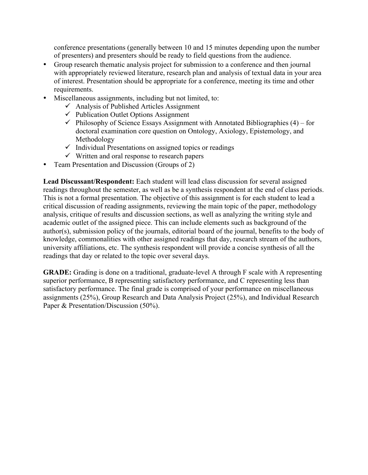conference presentations (generally between 10 and 15 minutes depending upon the number of presenters) and presenters should be ready to field questions from the audience.

- Group research thematic analysis project for submission to a conference and then journal with appropriately reviewed literature, research plan and analysis of textual data in your area of interest. Presentation should be appropriate for a conference, meeting its time and other requirements.
- Miscellaneous assignments, including but not limited, to:
	- $\checkmark$  Analysis of Published Articles Assignment
	- $\checkmark$  Publication Outlet Options Assignment
	- $\checkmark$  Philosophy of Science Essays Assignment with Annotated Bibliographies (4) for doctoral examination core question on Ontology, Axiology, Epistemology, and Methodology
	- $\checkmark$  Individual Presentations on assigned topics or readings
	- $\checkmark$  Written and oral response to research papers
- Team Presentation and Discussion (Groups of 2)

Lead Discussant/Respondent: Each student will lead class discussion for several assigned readings throughout the semester, as well as be a synthesis respondent at the end of class periods. This is not a formal presentation. The objective of this assignment is for each student to lead a critical discussion of reading assignments, reviewing the main topic of the paper, methodology analysis, critique of results and discussion sections, as well as analyzing the writing style and academic outlet of the assigned piece. This can include elements such as background of the author(s), submission policy of the journals, editorial board of the journal, benefits to the body of knowledge, commonalities with other assigned readings that day, research stream of the authors, university affiliations, etc. The synthesis respondent will provide a concise synthesis of all the readings that day or related to the topic over several days.

**GRADE:** Grading is done on a traditional, graduate-level A through F scale with A representing superior performance, B representing satisfactory performance, and C representing less than satisfactory performance. The final grade is comprised of your performance on miscellaneous assignments (25%), Group Research and Data Analysis Project (25%), and Individual Research Paper & Presentation/Discussion (50%).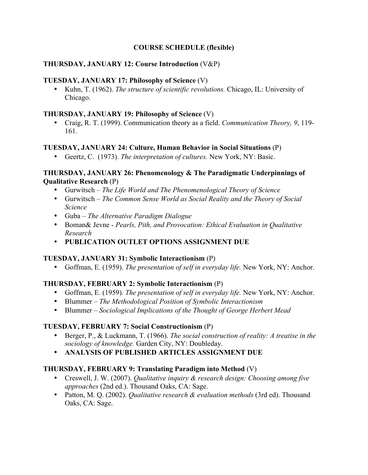### **COURSE SCHEDULE (flexible)**

### **THURSDAY, JANUARY 12: Course Introduction** (V&P)

### **TUESDAY, JANUARY 17: Philosophy of Science** (V)

• Kuhn, T. (1962). *The structure of scientific revolutions.* Chicago, IL: University of Chicago.

### **THURSDAY, JANUARY 19: Philosophy of Science** (V)

• Craig, R. T. (1999). Communication theory as a field. *Communication Theory, 9*, 119- 161.

# **TUESDAY, JANUARY 24: Culture, Human Behavior in Social Situations** (P)

• Geertz, C. (1973). *The interpretation of cultures.* New York, NY: Basic.

### **THURSDAY, JANUARY 26: Phenomenology & The Paradigmatic Underpinnings of Qualitative Research** (P)

- Gurwitsch *The Life World and The Phenomenological Theory of Science*
- Gurwitsch *The Common Sense World as Social Reality and the Theory of Social Science*
- Guba *The Alternative Paradigm Dialogue*
- Boman& Jevne *Pearls, Pith, and Provocation: Ethical Evaluation in Qualitative Research*
- **PUBLICATION OUTLET OPTIONS ASSIGNMENT DUE**

# **TUESDAY, JANUARY 31: Symbolic Interactionism** (P)

• Goffman, E. (1959). *The presentation of self in everyday life.* New York, NY: Anchor.

# **THURSDAY, FEBRUARY 2: Symbolic Interactionism** (P)

- Goffman, E. (1959). *The presentation of self in everyday life*. New York, NY: Anchor.
- Blummer *The Methodological Position of Symbolic Interactionism*
- Blummer *Sociological Implications of the Thought of George Herbert Mead*

# **TUESDAY, FEBRUARY 7: Social Constructionism** (P)

- Berger, P., & Luckmann, T. (1966). *The social construction of reality: A treatise in the sociology of knowledge.* Garden City, NY: Doubleday.
- **ANALYSIS OF PUBLISHED ARTICLES ASSIGNMENT DUE**

# **THURSDAY, FEBRUARY 9: Translating Paradigm into Method** (V)

- Creswell, J. W. (2007). *Qualitative inquiry & research design: Choosing among five approaches* (2nd ed.). Thousand Oaks, CA: Sage.
- Patton, M. Q. (2002). *Qualitative research & evaluation methods* (3rd ed). Thousand Oaks, CA: Sage.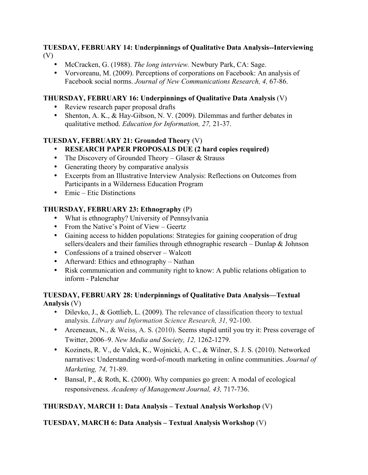### **TUESDAY, FEBRUARY 14: Underpinnings of Qualitative Data Analysis--Interviewing** (V)

- McCracken, G. (1988). *The long interview.* Newbury Park, CA: Sage.
- Vorvoreanu, M. (2009). Perceptions of corporations on Facebook: An analysis of Facebook social norms. *Journal of New Communications Research, 4,* 67-86.

### **THURSDAY, FEBRUARY 16: Underpinnings of Qualitative Data Analysis** (V)

- Review research paper proposal drafts
- Shenton, A. K., & Hay-Gibson, N. V. (2009). Dilemmas and further debates in qualitative method. *Education for Information, 27,* 21-37.

# **TUESDAY, FEBRUARY 21: Grounded Theory** (V)

- **RESEARCH PAPER PROPOSALS DUE (2 hard copies required)**
- The Discovery of Grounded Theory Glaser & Strauss
- Generating theory by comparative analysis
- Excerpts from an Illustrative Interview Analysis: Reflections on Outcomes from Participants in a Wilderness Education Program
- Emic Etic Distinctions

### **THURSDAY, FEBRUARY 23: Ethnography** (P)

- What is ethnography? University of Pennsylvania
- From the Native's Point of View Geertz
- Gaining access to hidden populations: Strategies for gaining cooperation of drug sellers/dealers and their families through ethnographic research – Dunlap & Johnson
- Confessions of a trained observer Walcott
- Afterward: Ethics and ethnography Nathan
- Risk communication and community right to know: A public relations obligation to inform - Palenchar

### **TUESDAY, FEBRUARY 28: Underpinnings of Qualitative Data Analysis—Textual Analysis** (V)

- Dilevko, J., & Gottlieb, L. (2009). The relevance of classification theory to textual analysis. *Library and Information Science Research, 31,* 92-100.
- Arceneaux, N., & Weiss, A. S. (2010). Seems stupid until you try it: Press coverage of Twitter, 2006–9. *New Media and Society, 12,* 1262-1279.
- Kozinets, R. V., de Valck, K., Wojnicki, A. C., & Wilner, S. J. S. (2010). Networked narratives: Understanding word-of-mouth marketing in online communities. *Journal of Marketing, 74,* 71-89.
- Bansal, P., & Roth, K. (2000). Why companies go green: A modal of ecological responsiveness. *Academy of Management Journal, 43,* 717-736.

# **THURSDAY, MARCH 1: Data Analysis – Textual Analysis Workshop** (V)

# **TUESDAY, MARCH 6: Data Analysis – Textual Analysis Workshop** (V)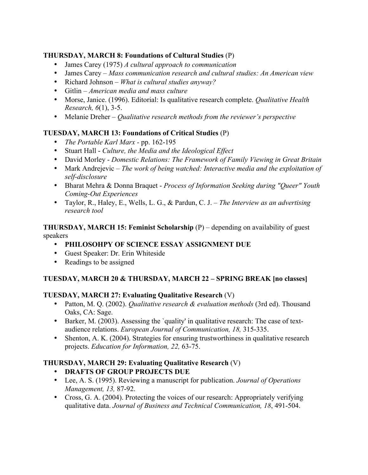# **THURSDAY, MARCH 8: Foundations of Cultural Studies** (P)

- James Carey (1975) *A cultural approach to communication*
- James Carey *Mass communication research and cultural studies: An American view*
- Richard Johnson *What is cultural studies anyway?*
- Gitlin *American media and mass culture*
- Morse, Janice. (1996). Editorial: Is qualitative research complete. *Qualitative Health Research, 6*(1), 3-5.
- Melanie Dreher *Qualitative research methods from the reviewer's perspective*

### **TUESDAY, MARCH 13: Foundations of Critical Studies** (P)

- *The Portable Karl Marx -* pp. 162-195
- Stuart Hall *Culture, the Media and the Ideological Effect*
- David Morley *Domestic Relations: The Framework of Family Viewing in Great Britain*
- Mark Andrejevic *The work of being watched: Interactive media and the exploitation of self-disclosure*
- Bharat Mehra & Donna Braquet *Process of Information Seeking during "Queer" Youth Coming-Out Experiences*
- Taylor, R., Haley, E., Wells, L. G., & Pardun, C. J. *The Interview as an advertising research tool*

**THURSDAY, MARCH 15: Feminist Scholarship** (P) – depending on availability of guest speakers

- **PHILOSOHPY OF SCIENCE ESSAY ASSIGNMENT DUE**
- Guest Speaker: Dr. Erin Whiteside
- Readings to be assigned

# **TUESDAY, MARCH 20 & THURSDAY, MARCH 22 – SPRING BREAK [no classes]**

#### **TUESDAY, MARCH 27: Evaluating Qualitative Research** (V)

- Patton, M. Q. (2002). *Qualitative research & evaluation methods* (3rd ed). Thousand Oaks, CA: Sage.
- Barker, M. (2003). Assessing the `quality' in qualitative research: The case of textaudience relations. *European Journal of Communication, 18,* 315-335.
- Shenton, A. K. (2004). Strategies for ensuring trustworthiness in qualitative research projects. *Education for Information, 22,* 63-75.

# **THURSDAY, MARCH 29: Evaluating Qualitative Research** (V)

- **DRAFTS OF GROUP PROJECTS DUE**
- Lee, A. S. (1995). Reviewing a manuscript for publication. *Journal of Operations Management, 13,* 87-92.
- Cross, G. A. (2004). Protecting the voices of our research: Appropriately verifying qualitative data. *Journal of Business and Technical Communication, 18*, 491-504.